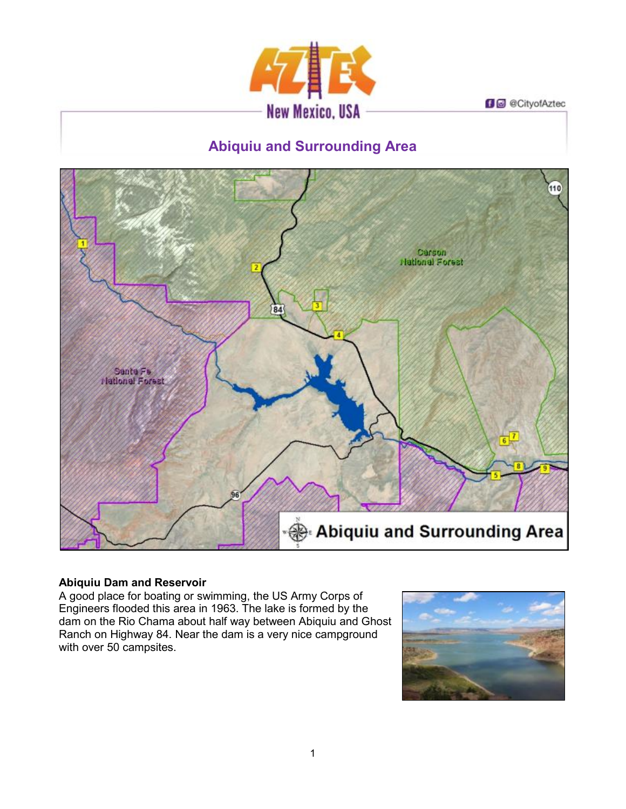

**D** @ CityofAztec

# **Abiquiu and Surrounding Area**



# **Abiquiu Dam and Reservoir**

A good place for boating or swimming, the US Army Corps of Engineers flooded this area in 1963. The lake is formed by the dam on the Rio Chama about half way between Abiquiu and Ghost Ranch on Highway 84. Near the dam is a very nice campground with over 50 campsites.

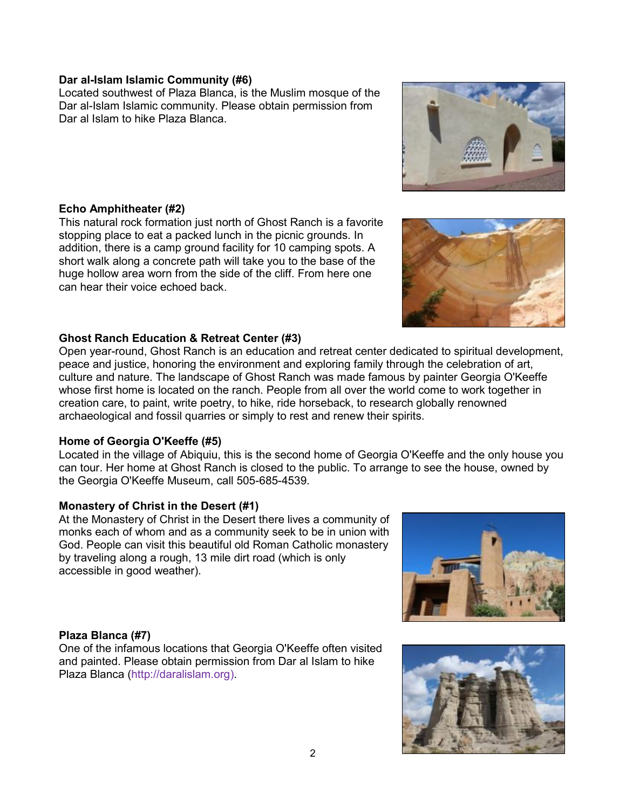## **Dar al-Islam Islamic Community (#6)**

Located southwest of Plaza Blanca, is the Muslim mosque of the Dar al-Islam Islamic community. Please obtain permission from Dar al Islam to hike Plaza Blanca.

## **Echo Amphitheater (#2)**

This natural rock formation just north of Ghost Ranch is a favorite stopping place to eat a packed lunch in the picnic grounds. In addition, there is a camp ground facility for 10 camping spots. A short walk along a concrete path will take you to the base of the huge hollow area worn from the side of the cliff. From here one can hear their voice echoed back.

## **Ghost Ranch Education & Retreat Center (#3)**

Open year-round, Ghost Ranch is an education and retreat center dedicated to spiritual development, peace and justice, honoring the environment and exploring family through the celebration of art, culture and nature. The landscape of Ghost Ranch was made famous by painter Georgia O'Keeffe whose first home is located on the ranch. People from all over the world come to work together in creation care, to paint, write poetry, to hike, ride horseback, to research globally renowned archaeological and fossil quarries or simply to rest and renew their spirits.

#### **Home of Georgia O'Keeffe (#5)**

Located in the village of Abiquiu, this is the second home of Georgia O'Keeffe and the only house you can tour. Her home at Ghost Ranch is closed to the public. To arrange to see the house, owned by the Georgia O'Keeffe Museum, call 505-685-4539.

#### **Monastery of Christ in the Desert (#1)**

At the Monastery of Christ in the Desert there lives a community of monks each of whom and as a community seek to be in union with God. People can visit this beautiful old Roman Catholic monastery by traveling along a rough, 13 mile dirt road (which is only accessible in good weather).

#### **Plaza Blanca (#7)**

One of the infamous locations that Georgia O'Keeffe often visited and painted. Please obtain permission from Dar al Islam to hike Plaza Blanca (http://daralislam.org).